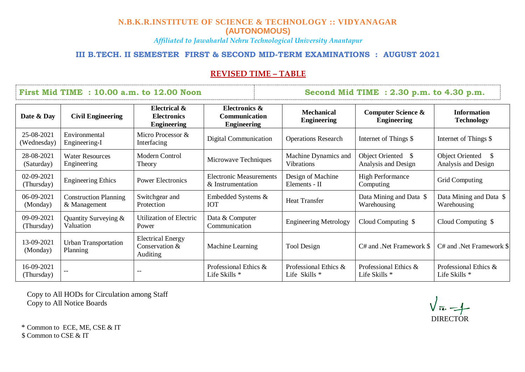### **N.B.K.R.INSTITUTE OF SCIENCE & TECHNOLOGY :: VIDYANAGAR (AUTONOMOUS)**

*Affiliated to Jawaharlal Nehru Technological University Anantapur*

# **III B.TECH. II SEMESTER FIRST & SECOND MID-TERM EXAMINATIONS : AUGUST 2021**

# **REVISED TIME – TABLE**

# **First Mid TIME : 10.00 a.m. to 12.00 Noon** Second Mid TIME : 2.30 p.m. to 4.30 p.m.

| Date & Day                | <b>Civil Engineering</b>                     | <b>Electrical &amp;</b><br><b>Electronics</b><br><b>Engineering</b> | Electronics &<br>Communication<br><b>Engineering</b> | <b>Mechanical</b><br><b>Engineering</b>   | <b>Computer Science &amp;</b><br><b>Engineering</b> | <b>Information</b><br><b>Technology</b>               |
|---------------------------|----------------------------------------------|---------------------------------------------------------------------|------------------------------------------------------|-------------------------------------------|-----------------------------------------------------|-------------------------------------------------------|
| 25-08-2021<br>(Wednesday) | Environmental<br>Engineering-I               | Micro Processor &<br>Interfacing                                    | Digital Communication                                | <b>Operations Research</b>                | Internet of Things \$                               | Internet of Things \$                                 |
| 28-08-2021<br>(Saturday)  | <b>Water Resources</b><br>Engineering        | Modern Control<br>Theory                                            | Microwave Techniques                                 | Machine Dynamics and<br><b>Vibrations</b> | Object Oriented \$<br>Analysis and Design           | <b>Object Oriented</b><br>- \$<br>Analysis and Design |
| 02-09-2021<br>(Thursday)  | <b>Engineering Ethics</b>                    | <b>Power Electronics</b>                                            | <b>Electronic Measurements</b><br>& Instrumentation  | Design of Machine<br>Elements - II        | <b>High Performance</b><br>Computing                | Grid Computing                                        |
| 06-09-2021<br>(Monday)    | <b>Construction Planning</b><br>& Management | Switchgear and<br>Protection                                        | Embedded Systems &<br><b>IOT</b>                     | <b>Heat Transfer</b>                      | Data Mining and Data \$<br>Warehousing              | Data Mining and Data \$<br>Warehousing                |
| 09-09-2021<br>(Thursday)  | Quantity Surveying &<br>Valuation            | <b>Utilization of Electric</b><br>Power                             | Data & Computer<br>Communication                     | <b>Engineering Metrology</b>              | Cloud Computing \$                                  | Cloud Computing \$                                    |
| 13-09-2021<br>(Monday)    | <b>Urban Transportation</b><br>Planning      | <b>Electrical Energy</b><br>Conservation &<br><b>Auditing</b>       | Machine Learning                                     | Tool Design                               | C# and .Net Framework \$                            | C# and .Net Framework \$                              |
| 16-09-2021<br>(Thursday)  | $-$                                          | $- -$                                                               | Professional Ethics &<br>Life Skills *               | Professional Ethics &<br>Life Skills *    | Professional Ethics &<br>Life Skills *              | Professional Ethics &<br>Life Skills *                |

Copy to All HODs for Circulation among Staff Copy to All Notice Boards

DIRECTOR

 \* Common to ECE, ME, CSE & IT \$ Common to CSE & IT